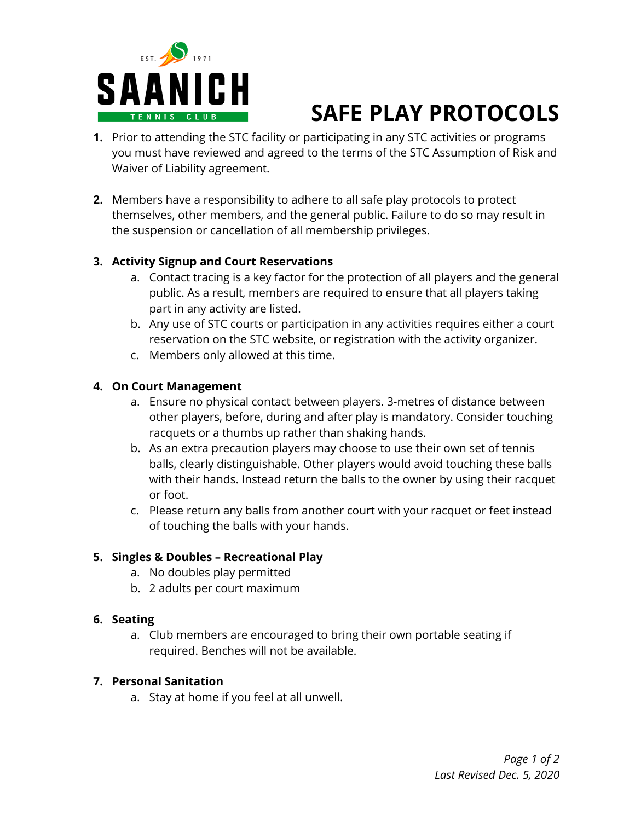

# **SAFE PLAY PROTOCOLS**

- **1.** Prior to attending the STC facility or participating in any STC activities or programs you must have reviewed and agreed to the terms of the STC Assumption of Risk and Waiver of Liability agreement.
- **2.** Members have a responsibility to adhere to all safe play protocols to protect themselves, other members, and the general public. Failure to do so may result in the suspension or cancellation of all membership privileges.

#### **3. Activity Signup and Court Reservations**

- a. Contact tracing is a key factor for the protection of all players and the general public. As a result, members are required to ensure that all players taking part in any activity are listed.
- b. Any use of STC courts or participation in any activities requires either a court reservation on the STC website, or registration with the activity organizer.
- c. Members only allowed at this time.

#### **4. On Court Management**

- a. Ensure no physical contact between players. 3-metres of distance between other players, before, during and after play is mandatory. Consider touching racquets or a thumbs up rather than shaking hands.
- b. As an extra precaution players may choose to use their own set of tennis balls, clearly distinguishable. Other players would avoid touching these balls with their hands. Instead return the balls to the owner by using their racquet or foot.
- c. Please return any balls from another court with your racquet or feet instead of touching the balls with your hands.

#### **5. Singles & Doubles – Recreational Play**

- a. No doubles play permitted
- b. 2 adults per court maximum

#### **6. Seating**

a. Club members are encouraged to bring their own portable seating if required. Benches will not be available.

#### **7. Personal Sanitation**

a. Stay at home if you feel at all unwell.